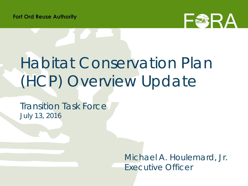

# Habitat Conservation Plan (HCP) Overview Update

Transition Task Force July 13, 2016

> *Michael A. Houlemard, Jr. Executive Officer*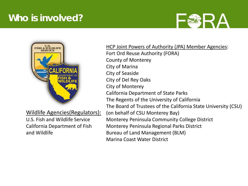### **Who is involved?**





Wildlife Agencies(Regulators):

U.S. Fish and Wildlife Service California Department of Fish and Wildlife

HCP Joint Powers of Authority (JPA) Member Agencies: Fort Ord Reuse Authority (FORA) County of Monterey City of Marina City of Seaside City of Del Rey Oaks City of Monterey California Department of State Parks The Regents of the University of California The Board of Trustees of the California State University (CSU) (on behalf of CSU Monterey Bay) Monterey Peninsula Community College District Monterey Peninsula Regional Parks District Bureau of Land Management (BLM) Marina Coast Water District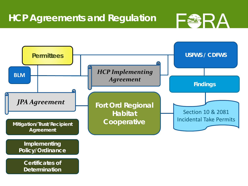

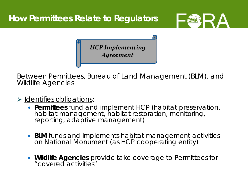



*HCP Implementing Agreement*

Between Permittees, Bureau of Land Management (BLM), and Wildlife Agencies

> Identifies obligations:

- **Permittees** fund and implement HCP (*habitat preservation, habitat management, habitat restoration, monitoring, reporting, adaptive management*)
- **BLM** funds and implements habitat management activities on National Monument (*as HCP cooperating entity*)
- **Wildlife Agencies** provide take coverage to Permittees for "covered activities"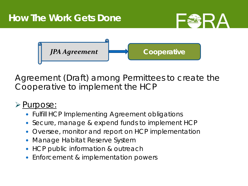

Agreement (Draft) among Permittees to create the Cooperative to implement the HCP

#### $\triangleright$  Purpose:

- Fulfill HCP Implementing Agreement obligations
- Secure, manage & expend funds to implement HCP
- Oversee, monitor and report on HCP implementation
- Manage Habitat Reserve System
- HCP public information & outreach
- Enforcement & implementation powers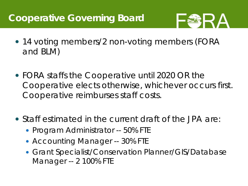## **Cooperative Governing Board**



- 14 voting members/2 non-voting members (FORA and BLM)
- FORA staffs the Cooperative until 2020 OR the Cooperative elects otherwise, whichever occurs first. Cooperative reimburses staff costs.
- Staff estimated in the current draft of the JPA are:
	- Program Administrator -- 50% FTE
	- Accounting Manager -- 30% FTE
	- Grant Specialist/Conservation Planner/GIS/Database Manager -- 2 100% FTE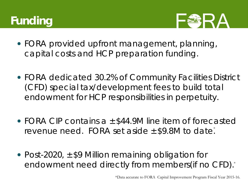# **Funding**



- FORA provided upfront management, planning, capital costs and HCP preparation funding.
- FORA dedicated 30.2% of Community Facilities District (CFD) special tax/development fees to build total endowment for HCP responsibilities in perpetuity.
- FORA CIP contains a ± \$44.9M line item of forecasted revenue need. FORA set aside  $\pm$  \$9.8M to date.
- Post-2020,  $\pm$  \$9 Million remaining obligation for endowment need directly from members(if no CFD). \*